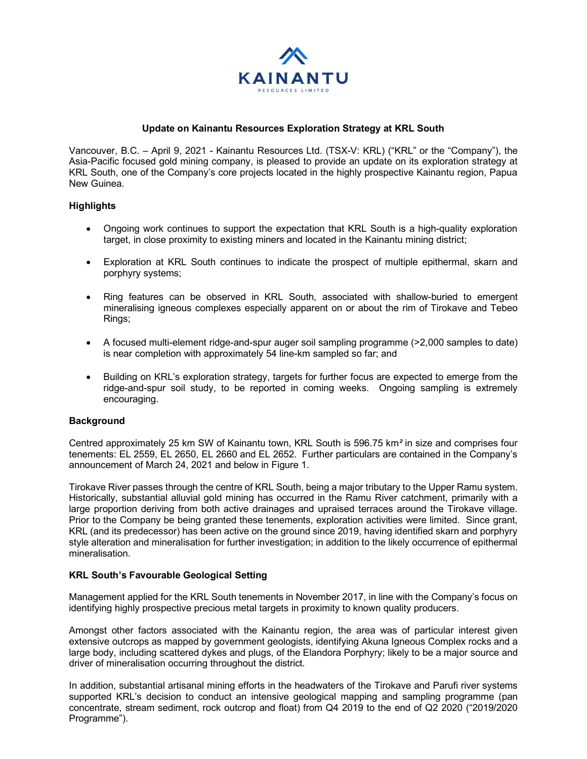

## **Update on Kainantu Resources Exploration Strategy at KRL South**

Vancouver, B.C. – April 9, 2021 - Kainantu Resources Ltd. (TSX-V: KRL) ("KRL" or the "Company"), the Asia-Pacific focused gold mining company, is pleased to provide an update on its exploration strategy at KRL South, one of the Company's core projects located in the highly prospective Kainantu region, Papua New Guinea.

## **Highlights**

- Ongoing work continues to support the expectation that KRL South is a high-quality exploration target, in close proximity to existing miners and located in the Kainantu mining district;
- Exploration at KRL South continues to indicate the prospect of multiple epithermal, skarn and porphyry systems;
- Ring features can be observed in KRL South, associated with shallow-buried to emergent mineralising igneous complexes especially apparent on or about the rim of Tirokave and Tebeo Rings;
- A focused multi-element ridge-and-spur auger soil sampling programme (>2,000 samples to date) is near completion with approximately 54 line-km sampled so far; and
- Building on KRL's exploration strategy, targets for further focus are expected to emerge from the ridge-and-spur soil study, to be reported in coming weeks. Ongoing sampling is extremely encouraging.

## **Background**

Centred approximately 25 km SW of Kainantu town, KRL South is 596.75 km*²* in size and comprises four tenements: EL 2559, EL 2650, EL 2660 and EL 2652. Further particulars are contained in the Company's announcement of March 24, 2021 and below in Figure 1.

Tirokave River passes through the centre of KRL South, being a major tributary to the Upper Ramu system. Historically, substantial alluvial gold mining has occurred in the Ramu River catchment, primarily with a large proportion deriving from both active drainages and upraised terraces around the Tirokave village. Prior to the Company be being granted these tenements, exploration activities were limited. Since grant, KRL (and its predecessor) has been active on the ground since 2019, having identified skarn and porphyry style alteration and mineralisation for further investigation; in addition to the likely occurrence of epithermal mineralisation.

## **KRL South's Favourable Geological Setting**

Management applied for the KRL South tenements in November 2017, in line with the Company's focus on identifying highly prospective precious metal targets in proximity to known quality producers.

Amongst other factors associated with the Kainantu region, the area was of particular interest given extensive outcrops as mapped by government geologists, identifying Akuna Igneous Complex rocks and a large body, including scattered dykes and plugs, of the Elandora Porphyry; likely to be a major source and driver of mineralisation occurring throughout the district.

In addition, substantial artisanal mining efforts in the headwaters of the Tirokave and Parufi river systems supported KRL's decision to conduct an intensive geological mapping and sampling programme (pan concentrate, stream sediment, rock outcrop and float) from Q4 2019 to the end of Q2 2020 ("2019/2020 Programme").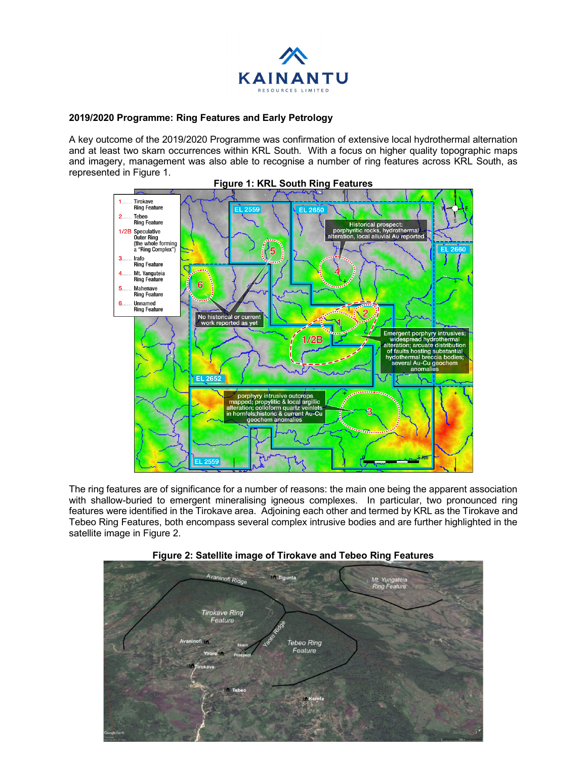

# **2019/2020 Programme: Ring Features and Early Petrology**

A key outcome of the 2019/2020 Programme was confirmation of extensive local hydrothermal alternation and at least two skarn occurrences within KRL South. With a focus on higher quality topographic maps and imagery, management was also able to recognise a number of ring features across KRL South, as represented in Figure 1.



The ring features are of significance for a number of reasons: the main one being the apparent association with shallow-buried to emergent mineralising igneous complexes. In particular, two pronounced ring features were identified in the Tirokave area. Adjoining each other and termed by KRL as the Tirokave and Tebeo Ring Features, both encompass several complex intrusive bodies and are further highlighted in the satellite image in Figure 2.



## **Figure 2: Satellite image of Tirokave and Tebeo Ring Features**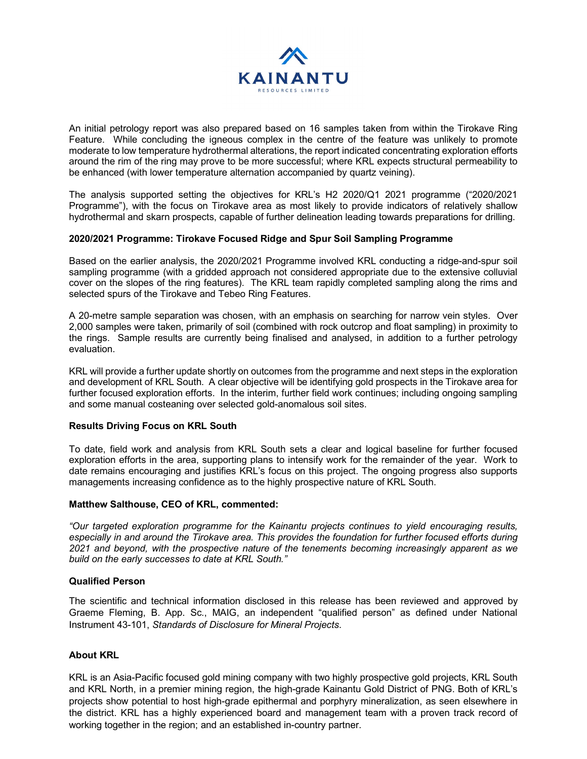

An initial petrology report was also prepared based on 16 samples taken from within the Tirokave Ring Feature. While concluding the igneous complex in the centre of the feature was unlikely to promote moderate to low temperature hydrothermal alterations, the report indicated concentrating exploration efforts around the rim of the ring may prove to be more successful; where KRL expects structural permeability to be enhanced (with lower temperature alternation accompanied by quartz veining).

The analysis supported setting the objectives for KRL's H2 2020/Q1 2021 programme ("2020/2021 Programme"), with the focus on Tirokave area as most likely to provide indicators of relatively shallow hydrothermal and skarn prospects, capable of further delineation leading towards preparations for drilling.

## **2020/2021 Programme: Tirokave Focused Ridge and Spur Soil Sampling Programme**

Based on the earlier analysis, the 2020/2021 Programme involved KRL conducting a ridge-and-spur soil sampling programme (with a gridded approach not considered appropriate due to the extensive colluvial cover on the slopes of the ring features). The KRL team rapidly completed sampling along the rims and selected spurs of the Tirokave and Tebeo Ring Features.

A 20-metre sample separation was chosen, with an emphasis on searching for narrow vein styles. Over 2,000 samples were taken, primarily of soil (combined with rock outcrop and float sampling) in proximity to the rings. Sample results are currently being finalised and analysed, in addition to a further petrology evaluation.

KRL will provide a further update shortly on outcomes from the programme and next steps in the exploration and development of KRL South. A clear objective will be identifying gold prospects in the Tirokave area for further focused exploration efforts. In the interim, further field work continues; including ongoing sampling and some manual costeaning over selected gold-anomalous soil sites.

## **Results Driving Focus on KRL South**

To date, field work and analysis from KRL South sets a clear and logical baseline for further focused exploration efforts in the area, supporting plans to intensify work for the remainder of the year. Work to date remains encouraging and justifies KRL's focus on this project. The ongoing progress also supports managements increasing confidence as to the highly prospective nature of KRL South.

## **Matthew Salthouse, CEO of KRL, commented:**

*"Our targeted exploration programme for the Kainantu projects continues to yield encouraging results, especially in and around the Tirokave area. This provides the foundation for further focused efforts during 2021 and beyond, with the prospective nature of the tenements becoming increasingly apparent as we build on the early successes to date at KRL South."* 

#### **Qualified Person**

The scientific and technical information disclosed in this release has been reviewed and approved by Graeme Fleming, B. App. Sc., MAIG, an independent "qualified person" as defined under National Instrument 43-101, *Standards of Disclosure for Mineral Projects*.

## **About KRL**

KRL is an Asia-Pacific focused gold mining company with two highly prospective gold projects, KRL South and KRL North, in a premier mining region, the high-grade Kainantu Gold District of PNG. Both of KRL's projects show potential to host high-grade epithermal and porphyry mineralization, as seen elsewhere in the district. KRL has a highly experienced board and management team with a proven track record of working together in the region; and an established in-country partner.